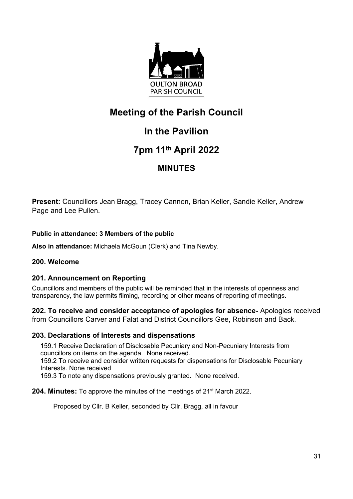

# **Meeting of the Parish Council**

## **In the Pavilion**

## **7pm 11th April 2022**

## **MINUTES**

**Present:** Councillors Jean Bragg, Tracey Cannon, Brian Keller, Sandie Keller, Andrew Page and Lee Pullen.

## **Public in attendance: 3 Members of the public**

**Also in attendance:** Michaela McGoun (Clerk) and Tina Newby.

## **200. Welcome**

## **201. Announcement on Reporting**

Councillors and members of the public will be reminded that in the interests of openness and transparency, the law permits filming, recording or other means of reporting of meetings.

**202. To receive and consider acceptance of apologies for absence-** Apologies received from Councillors Carver and Falat and District Councillors Gee, Robinson and Back.

### **203. Declarations of Interests and dispensations**

159.1 Receive Declaration of Disclosable Pecuniary and Non-Pecuniary Interests from councillors on items on the agenda. None received. 159.2 To receive and consider written requests for dispensations for Disclosable Pecuniary Interests. None received 159.3 To note any dispensations previously granted. None received.

### **204. Minutes:** To approve the minutes of the meetings of 21<sup>st</sup> March 2022.

Proposed by Cllr. B Keller, seconded by Cllr. Bragg, all in favour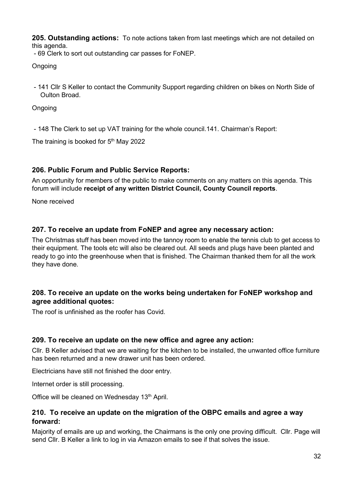**205. Outstanding actions:** To note actions taken from last meetings which are not detailed on this agenda.

- 69 Clerk to sort out outstanding car passes for FoNEP.

Ongoing

- 141 Cllr S Keller to contact the Community Support regarding children on bikes on North Side of Oulton Broad.

**Ongoing** 

- 148 The Clerk to set up VAT training for the whole council.141. Chairman's Report:

The training is booked for  $5<sup>th</sup>$  May 2022

## **206. Public Forum and Public Service Reports:**

An opportunity for members of the public to make comments on any matters on this agenda. This forum will include **receipt of any written District Council, County Council reports**.

None received

## **207. To receive an update from FoNEP and agree any necessary action:**

The Christmas stuff has been moved into the tannoy room to enable the tennis club to get access to their equipment. The tools etc will also be cleared out. All seeds and plugs have been planted and ready to go into the greenhouse when that is finished. The Chairman thanked them for all the work they have done.

## **208. To receive an update on the works being undertaken for FoNEP workshop and agree additional quotes:**

The roof is unfinished as the roofer has Covid.

### **209. To receive an update on the new office and agree any action:**

Cllr. B Keller advised that we are waiting for the kitchen to be installed, the unwanted office furniture has been returned and a new drawer unit has been ordered.

Electricians have still not finished the door entry.

Internet order is still processing.

Office will be cleaned on Wednesday 13<sup>th</sup> April.

## **210. To receive an update on the migration of the OBPC emails and agree a way forward:**

Majority of emails are up and working, the Chairmans is the only one proving difficult. Cllr. Page will send Cllr. B Keller a link to log in via Amazon emails to see if that solves the issue.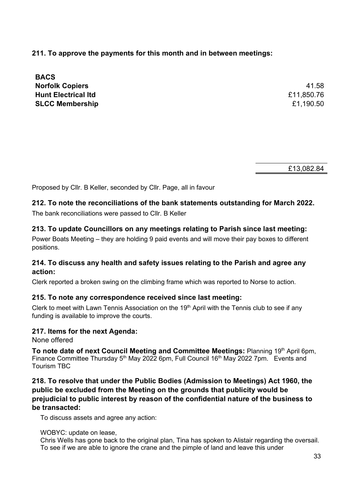**211. To approve the payments for this month and in between meetings:**

| <b>BACS</b>                |            |
|----------------------------|------------|
| <b>Norfolk Copiers</b>     | 41.58      |
| <b>Hunt Electrical Itd</b> | £11,850.76 |
| <b>SLCC Membership</b>     | £1,190.50  |

£13,082.84

Proposed by Cllr. B Keller, seconded by Cllr. Page, all in favour

## **212. To note the reconciliations of the bank statements outstanding for March 2022.**

The bank reconciliations were passed to Cllr. B Keller

## **213. To update Councillors on any meetings relating to Parish since last meeting:**

Power Boats Meeting – they are holding 9 paid events and will move their pay boxes to different positions.

## **214. To discuss any health and safety issues relating to the Parish and agree any action:**

Clerk reported a broken swing on the climbing frame which was reported to Norse to action.

### **215. To note any correspondence received since last meeting:**

Clerk to meet with Lawn Tennis Association on the  $19<sup>th</sup>$  April with the Tennis club to see if any funding is available to improve the courts.

### **217. Items for the next Agenda:**

None offered

To note date of next Council Meeting and Committee Meetings: Planning 19<sup>th</sup> April 6pm, Finance Committee Thursday 5<sup>th</sup> May 2022 6pm, Full Council 16<sup>th</sup> May 2022 7pm. Events and Tourism TBC

## **218. To resolve that under the Public Bodies (Admission to Meetings) Act 1960, the public be excluded from the Meeting on the grounds that publicity would be prejudicial to public interest by reason of the confidential nature of the business to be transacted:**

To discuss assets and agree any action:

#### WOBYC: update on lease,

Chris Wells has gone back to the original plan, Tina has spoken to Alistair regarding the oversail. To see if we are able to ignore the crane and the pimple of land and leave this under